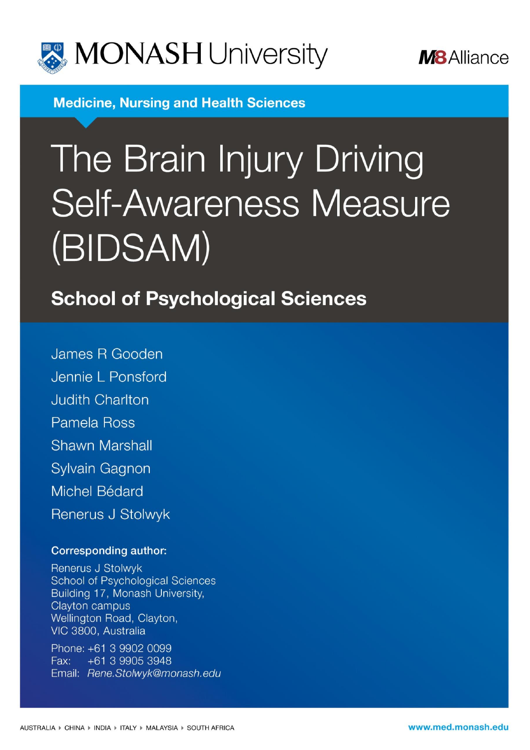



**Medicine. Nursing and Health Sciences** 

# The Brain Injury Driving **Self-Awareness Measure** (BIDSAM)

**School of Psychological Sciences** 

James R Gooden Jennie L Ponsford **Judith Charlton** Pamela Ross **Shawn Marshall Sylvain Gagnon** Michel Bédard Renerus J Stolwyk

## **Corresponding author:**

Renerus J Stolwyk **School of Psychological Sciences** Building 17, Monash University, Clayton campus Wellington Road, Clayton, VIC 3800, Australia

Phone: +61 3 9902 0099 Fax: +61 3 9905 3948 Email: Rene.Stolwyk@monash.edu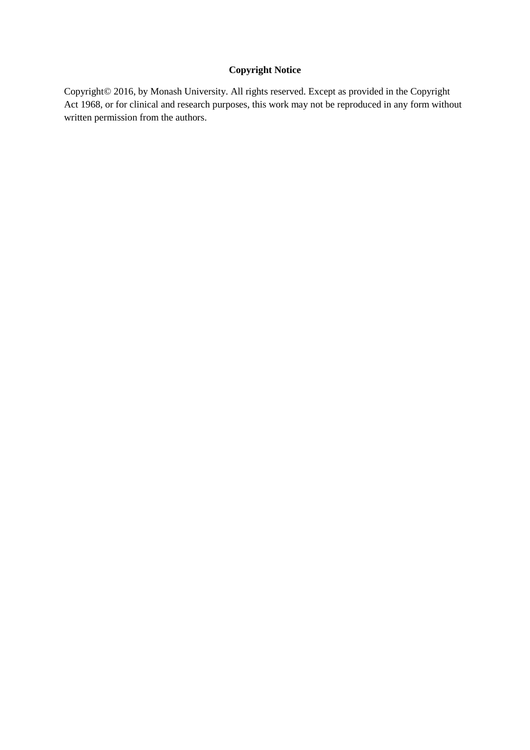## **Copyright Notice**

Copyright© 2016, by Monash University. All rights reserved. Except as provided in the Copyright Act 1968, or for clinical and research purposes, this work may not be reproduced in any form without written permission from the authors.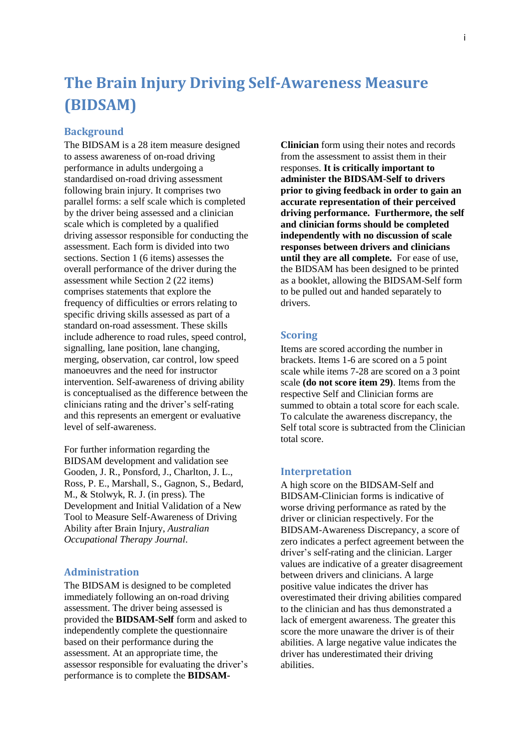## **The Brain Injury Driving Self-Awareness Measure (BIDSAM)**

## **Background**

The BIDSAM is a 28 item measure designed to assess awareness of on-road driving performance in adults undergoing a standardised on-road driving assessment following brain injury. It comprises two parallel forms: a self scale which is completed by the driver being assessed and a clinician scale which is completed by a qualified driving assessor responsible for conducting the assessment. Each form is divided into two sections. Section 1 (6 items) assesses the overall performance of the driver during the assessment while Section 2 (22 items) comprises statements that explore the frequency of difficulties or errors relating to specific driving skills assessed as part of a standard on-road assessment. These skills include adherence to road rules, speed control, signalling, lane position, lane changing, merging, observation, car control, low speed manoeuvres and the need for instructor intervention. Self-awareness of driving ability is conceptualised as the difference between the clinicians rating and the driver's self-rating and this represents an emergent or evaluative level of self-awareness.

For further information regarding the BIDSAM development and validation see Gooden, J. R., Ponsford, J., Charlton, J. L., Ross, P. E., Marshall, S., Gagnon, S., Bedard, M., & Stolwyk, R. J. (in press). The Development and Initial Validation of a New Tool to Measure Self-Awareness of Driving Ability after Brain Injury, *Australian Occupational Therapy Journal*.

## **Administration**

The BIDSAM is designed to be completed immediately following an on-road driving assessment. The driver being assessed is provided the **BIDSAM-Self** form and asked to independently complete the questionnaire based on their performance during the assessment. At an appropriate time, the assessor responsible for evaluating the driver's performance is to complete the **BIDSAM-**

**Clinician** form using their notes and records from the assessment to assist them in their responses. **It is critically important to administer the BIDSAM-Self to drivers prior to giving feedback in order to gain an accurate representation of their perceived driving performance. Furthermore, the self and clinician forms should be completed independently with no discussion of scale responses between drivers and clinicians until they are all complete.** For ease of use, the BIDSAM has been designed to be printed as a booklet, allowing the BIDSAM-Self form to be pulled out and handed separately to drivers.

## **Scoring**

Items are scored according the number in brackets. Items 1-6 are scored on a 5 point scale while items 7-28 are scored on a 3 point scale **(do not score item 29)**. Items from the respective Self and Clinician forms are summed to obtain a total score for each scale. To calculate the awareness discrepancy, the Self total score is subtracted from the Clinician total score.

#### **Interpretation**

A high score on the BIDSAM-Self and BIDSAM-Clinician forms is indicative of worse driving performance as rated by the driver or clinician respectively. For the BIDSAM-Awareness Discrepancy, a score of zero indicates a perfect agreement between the driver's self-rating and the clinician. Larger values are indicative of a greater disagreement between drivers and clinicians. A large positive value indicates the driver has overestimated their driving abilities compared to the clinician and has thus demonstrated a lack of emergent awareness. The greater this score the more unaware the driver is of their abilities. A large negative value indicates the driver has underestimated their driving abilities.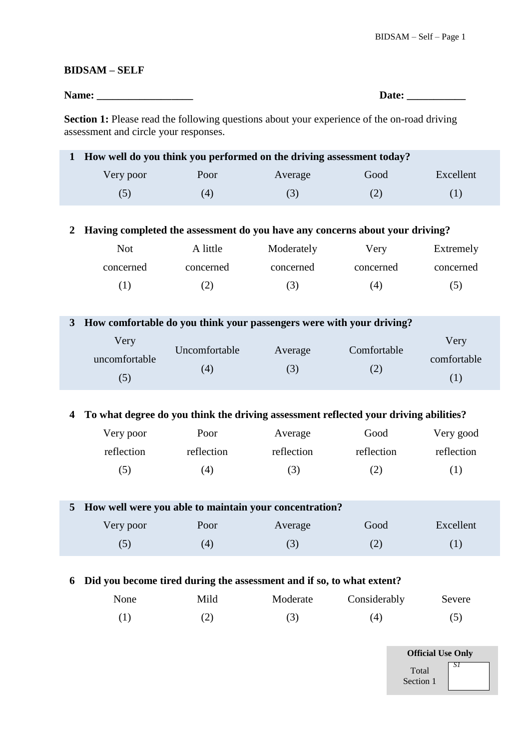## **BIDSAM – SELF**

| Name: | Jate: |
|-------|-------|
|-------|-------|

**Section 1:** Please read the following questions about your experience of the on-road driving assessment and circle your responses.

| 1 How well do you think you performed on the driving assessment today? |      |         |      |           |  |  |
|------------------------------------------------------------------------|------|---------|------|-----------|--|--|
| Very poor                                                              | Poor | Average | Good | Excellent |  |  |
| (5)                                                                    | 4)   | (3)     |      |           |  |  |

## **2 Having completed the assessment do you have any concerns about your driving?**

| Not       | A little  | Moderately | Verv      | Extremely |
|-----------|-----------|------------|-----------|-----------|
| concerned | concerned | concerned  | concerned | concerned |
| (1)       |           | (3)        | (4)       | (5)       |

## **3 How comfortable do you think your passengers were with your driving?**

| Very          | Uncomfortable |         | Comfortable | Very        |
|---------------|---------------|---------|-------------|-------------|
| uncomfortable |               | Average |             | comfortable |
| (5)           | (4)           | (3)     |             |             |

## **4 To what degree do you think the driving assessment reflected your driving abilities?**

| Very poor  | Poor       | Average    | Good       | Very good  |
|------------|------------|------------|------------|------------|
| reflection | reflection | reflection | reflection | reflection |
| (5)        | 4)         | (3)        | (2)        | ( 1 )      |

## **5 How well were you able to maintain your concentration?**

| Very poor | Poor             | Average | Good                             | Excellent |
|-----------|------------------|---------|----------------------------------|-----------|
| いし        | $\left(4\right)$ |         | $\curvearrowright$<br>$\sqrt{2}$ |           |

## **6 Did you become tired during the assessment and if so, to what extent?**

| None | Mild | Moderate | Considerably | Severe |
|------|------|----------|--------------|--------|
| (1)  |      |          | (4,          |        |

| <b>Official Use Only</b> |    |  |  |  |
|--------------------------|----|--|--|--|
| Total<br>Section 1       | S1 |  |  |  |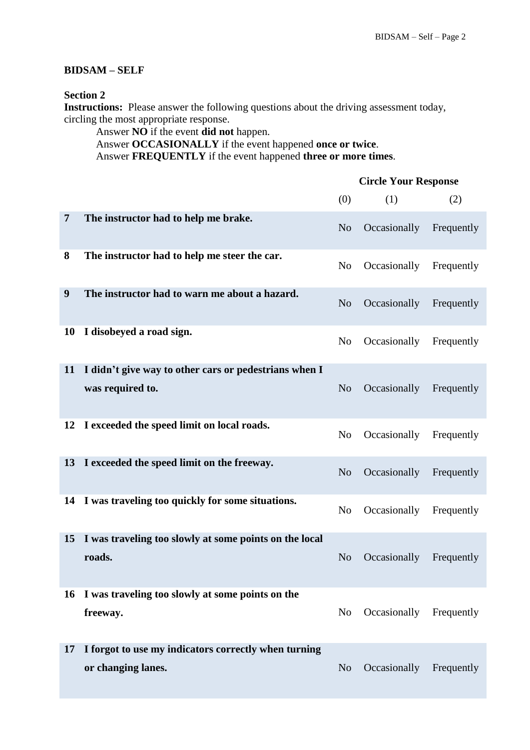## **BIDSAM – SELF**

## **Section 2**

**Instructions:** Please answer the following questions about the driving assessment today, circling the most appropriate response.

Answer **NO** if the event **did not** happen. Answer **OCCASIONALLY** if the event happened **once or twice**. Answer **FREQUENTLY** if the event happened **three or more times**.

|                |                                                                            | <b>Circle Your Response</b> |              |            |  |
|----------------|----------------------------------------------------------------------------|-----------------------------|--------------|------------|--|
|                |                                                                            | (0)                         | (1)          | (2)        |  |
| $\overline{7}$ | The instructor had to help me brake.                                       | N <sub>o</sub>              | Occasionally | Frequently |  |
| 8              | The instructor had to help me steer the car.                               | N <sub>o</sub>              | Occasionally | Frequently |  |
| 9              | The instructor had to warn me about a hazard.                              | N <sub>o</sub>              | Occasionally | Frequently |  |
| 10             | I disobeyed a road sign.                                                   | N <sub>0</sub>              | Occasionally | Frequently |  |
| 11             | I didn't give way to other cars or pedestrians when I<br>was required to.  | N <sub>o</sub>              | Occasionally | Frequently |  |
| 12             | I exceeded the speed limit on local roads.                                 | N <sub>o</sub>              | Occasionally | Frequently |  |
| 13             | I exceeded the speed limit on the freeway.                                 | N <sub>o</sub>              | Occasionally | Frequently |  |
| 14             | I was traveling too quickly for some situations.                           | N <sub>o</sub>              | Occasionally | Frequently |  |
| 15             | I was traveling too slowly at some points on the local<br>roads.           | N <sub>o</sub>              | Occasionally | Frequently |  |
| 16             | I was traveling too slowly at some points on the<br>freeway.               | N <sub>o</sub>              | Occasionally | Frequently |  |
| 17             | I forgot to use my indicators correctly when turning<br>or changing lanes. | N <sub>o</sub>              | Occasionally | Frequently |  |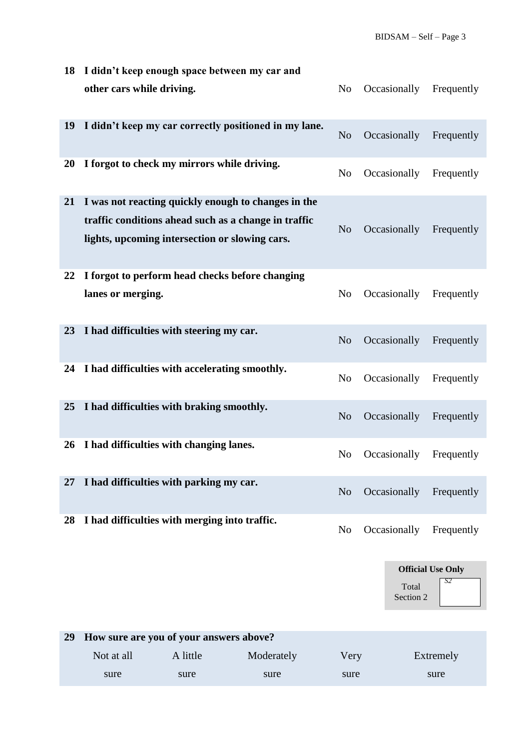| 18 | I didn't keep enough space between my car and                                                                                                                 |                |              |            |
|----|---------------------------------------------------------------------------------------------------------------------------------------------------------------|----------------|--------------|------------|
|    | other cars while driving.                                                                                                                                     | N <sub>o</sub> | Occasionally | Frequently |
| 19 | I didn't keep my car correctly positioned in my lane.                                                                                                         | N <sub>o</sub> | Occasionally | Frequently |
| 20 | I forgot to check my mirrors while driving.                                                                                                                   | N <sub>o</sub> | Occasionally | Frequently |
| 21 | I was not reacting quickly enough to changes in the<br>traffic conditions ahead such as a change in traffic<br>lights, upcoming intersection or slowing cars. | N <sub>o</sub> | Occasionally | Frequently |
| 22 | I forgot to perform head checks before changing<br>lanes or merging.                                                                                          | N <sub>o</sub> | Occasionally | Frequently |
| 23 | I had difficulties with steering my car.                                                                                                                      | N <sub>o</sub> | Occasionally | Frequently |
| 24 | I had difficulties with accelerating smoothly.                                                                                                                | N <sub>o</sub> | Occasionally | Frequently |
| 25 | I had difficulties with braking smoothly.                                                                                                                     | N <sub>o</sub> | Occasionally | Frequently |
| 26 | I had difficulties with changing lanes.                                                                                                                       | N <sub>o</sub> | Occasionally | Frequently |
| 27 | I had difficulties with parking my car.                                                                                                                       | N <sub>o</sub> | Occasionally | Frequently |
| 28 | I had difficulties with merging into traffic.                                                                                                                 | N <sub>o</sub> | Occasionally | Frequently |



| 29 | How sure are you of your answers above? |          |            |      |           |
|----|-----------------------------------------|----------|------------|------|-----------|
|    | Not at all                              | A little | Moderately | Verv | Extremely |
|    | sure                                    | sure     | sure       | sure | sure      |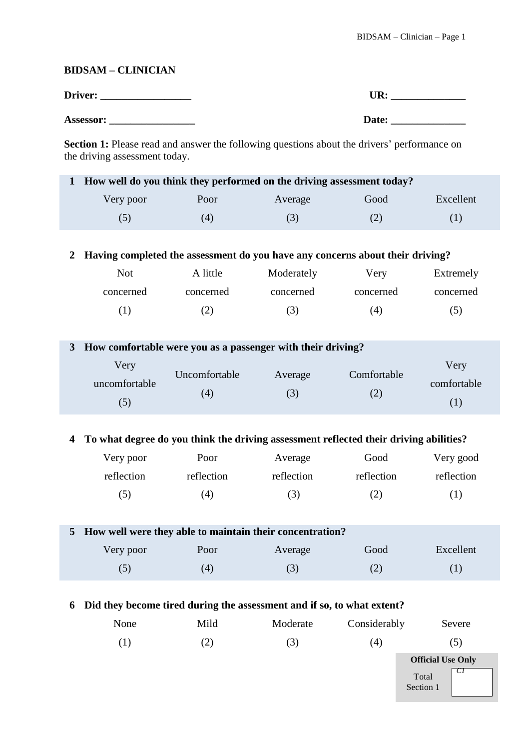## **BIDSAM – CLINICIAN**

| Driver:   | TR:   |
|-----------|-------|
| Assessor: | Date: |

**Section 1:** Please read and answer the following questions about the drivers' performance on the driving assessment today.

| 1 How well do you think they performed on the driving assessment today? |      |         |      |           |  |  |  |  |
|-------------------------------------------------------------------------|------|---------|------|-----------|--|--|--|--|
| Very poor                                                               | Poor | Average | Good | Excellent |  |  |  |  |
| (5)                                                                     | (4)  | (3)     | (Z)  | (1)       |  |  |  |  |

**2 Having completed the assessment do you have any concerns about their driving?**

| <b>Not</b> | A little  | Moderately | Very      | Extremely |
|------------|-----------|------------|-----------|-----------|
| concerned  | concerned | concerned  | concerned | concerned |
|            |           | (3)        | (4)       | (5)       |

| How comfortable were you as a passenger with their driving? |                      |         |                    |                            |  |  |
|-------------------------------------------------------------|----------------------|---------|--------------------|----------------------------|--|--|
| Very<br>uncomfortable<br>(5)                                | Uncomfortable<br>(4) | Average | Comfortable<br>(2) | Very<br>comfortable<br>(1) |  |  |

## **4 To what degree do you think the driving assessment reflected their driving abilities?**

| Very poor  | Poor       | Average    | Good       | Very good  |
|------------|------------|------------|------------|------------|
| reflection | reflection | reflection | reflection | reflection |
| (5)        | 4)         | (3)        | (2)        | ( 1 )      |

| 5 How well were they able to maintain their concentration? |     |         |      |           |  |  |  |  |
|------------------------------------------------------------|-----|---------|------|-----------|--|--|--|--|
| Very poor<br>Poor                                          |     | Average | Good | Excellent |  |  |  |  |
| (5)                                                        | (4) | (3)     |      |           |  |  |  |  |

## **6 Did they become tired during the assessment and if so, to what extent?**

| None | Mild              | Moderate | Considerably | Severe                     |
|------|-------------------|----------|--------------|----------------------------|
| 1)   | $\left( 2\right)$ | (3)      | (4)          | (5)                        |
|      |                   |          |              | <b>Official Use Only</b>   |
|      |                   |          |              | -C I<br>Total<br>Section 1 |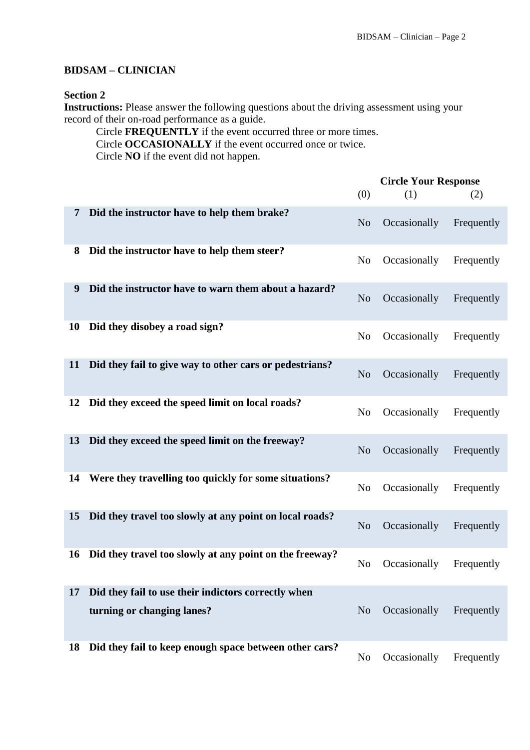## **BIDSAM – CLINICIAN**

## **Section 2**

**Instructions:** Please answer the following questions about the driving assessment using your record of their on-road performance as a guide.

Circle **FREQUENTLY** if the event occurred three or more times. Circle **OCCASIONALLY** if the event occurred once or twice. Circle **NO** if the event did not happen.

|    |                                                         | <b>Circle Your Response</b> |              |            |
|----|---------------------------------------------------------|-----------------------------|--------------|------------|
|    |                                                         | (0)                         | (1)          | (2)        |
| 7  | Did the instructor have to help them brake?             | N <sub>o</sub>              | Occasionally | Frequently |
| 8  | Did the instructor have to help them steer?             | N <sub>o</sub>              | Occasionally | Frequently |
| 9  | Did the instructor have to warn them about a hazard?    | N <sub>o</sub>              | Occasionally | Frequently |
| 10 | Did they disobey a road sign?                           | N <sub>0</sub>              | Occasionally | Frequently |
| 11 | Did they fail to give way to other cars or pedestrians? | N <sub>o</sub>              | Occasionally | Frequently |
| 12 | Did they exceed the speed limit on local roads?         | N <sub>o</sub>              | Occasionally | Frequently |
| 13 | Did they exceed the speed limit on the freeway?         | N <sub>o</sub>              | Occasionally | Frequently |
| 14 | Were they travelling too quickly for some situations?   | N <sub>o</sub>              | Occasionally | Frequently |
| 15 | Did they travel too slowly at any point on local roads? | N <sub>o</sub>              | Occasionally | Frequently |
| 16 | Did they travel too slowly at any point on the freeway? | N <sub>0</sub>              | Occasionally | Frequently |
| 17 | Did they fail to use their indictors correctly when     |                             |              |            |
|    | turning or changing lanes?                              | N <sub>o</sub>              | Occasionally | Frequently |
| 18 | Did they fail to keep enough space between other cars?  | N <sub>0</sub>              | Occasionally | Frequently |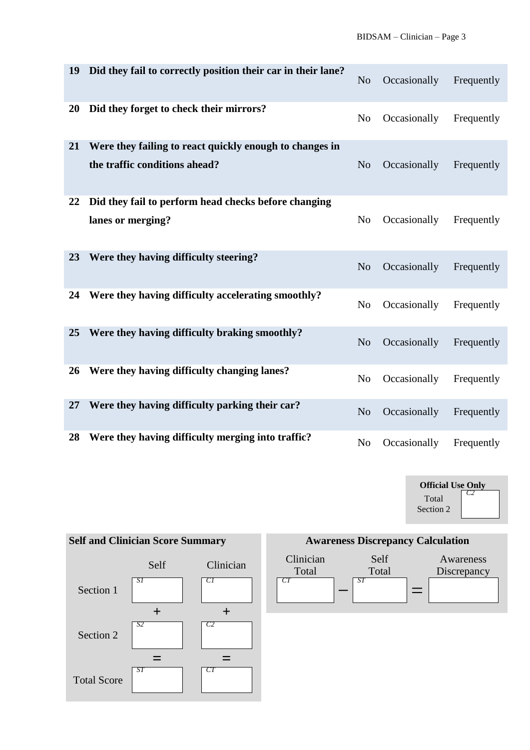| 19 | Did they fail to correctly position their car in their lane?                             | N <sub>o</sub> | Occasionally | Frequently |
|----|------------------------------------------------------------------------------------------|----------------|--------------|------------|
| 20 | Did they forget to check their mirrors?                                                  | N <sub>o</sub> | Occasionally | Frequently |
| 21 | Were they failing to react quickly enough to changes in<br>the traffic conditions ahead? | N <sub>o</sub> | Occasionally | Frequently |
| 22 | Did they fail to perform head checks before changing<br>lanes or merging?                | N <sub>o</sub> | Occasionally | Frequently |
| 23 | Were they having difficulty steering?                                                    | N <sub>o</sub> | Occasionally | Frequently |
| 24 | Were they having difficulty accelerating smoothly?                                       | N <sub>0</sub> | Occasionally | Frequently |
| 25 | Were they having difficulty braking smoothly?                                            | N <sub>o</sub> | Occasionally | Frequently |
| 26 | Were they having difficulty changing lanes?                                              | N <sub>o</sub> | Occasionally | Frequently |
| 27 | Were they having difficulty parking their car?                                           | N <sub>o</sub> | Occasionally | Frequently |
| 28 | Were they having difficulty merging into traffic?                                        | N <sub>o</sub> | Occasionally | Frequently |